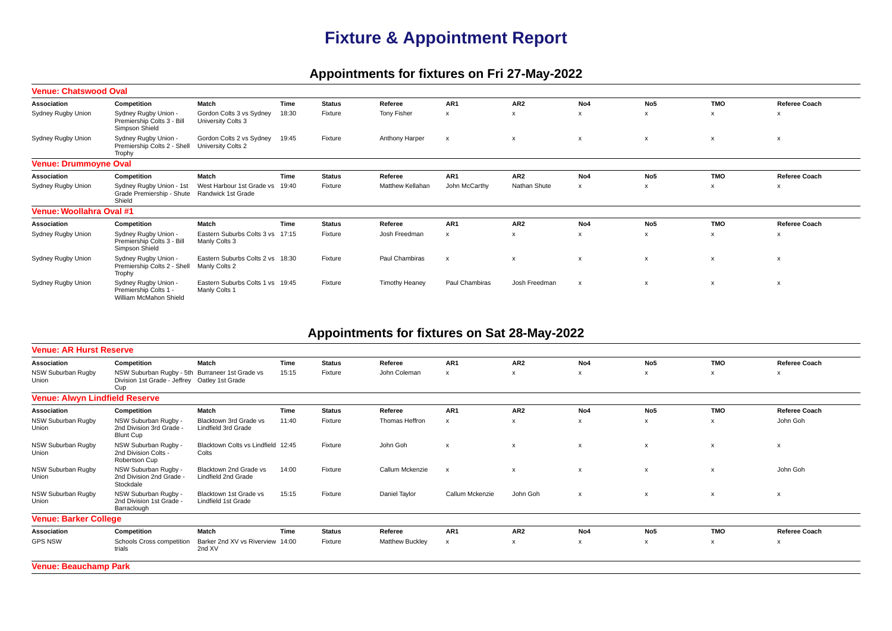## **Fixture & Appointment Report**

## **Appointments for fixtures on Fri 27-May-2022**

|                                 | <b>Venue: Chatswood Oval</b>                                            |                                                   |       |               |                       |                           |                           |                           |                           |                           |                           |  |  |
|---------------------------------|-------------------------------------------------------------------------|---------------------------------------------------|-------|---------------|-----------------------|---------------------------|---------------------------|---------------------------|---------------------------|---------------------------|---------------------------|--|--|
| Association                     | Competition                                                             | Match                                             | Time  | <b>Status</b> | Referee               | AR1                       | AR <sub>2</sub>           | No4                       | No <sub>5</sub>           | <b>TMO</b>                | Referee Coach             |  |  |
| Sydney Rugby Union              | Sydney Rugby Union -<br>Premiership Colts 3 - Bill<br>Simpson Shield    | Gordon Colts 3 vs Sydney<br>University Colts 3    | 18:30 | Fixture       | <b>Tony Fisher</b>    | $\boldsymbol{\mathsf{x}}$ | X                         | x                         | X                         | X                         | $\boldsymbol{\mathsf{x}}$ |  |  |
| Sydney Rugby Union              | Sydney Rugby Union -<br>Premiership Colts 2 - Shell<br>Trophy           | Gordon Colts 2 vs Sydney<br>University Colts 2    | 19:45 | Fixture       | Anthony Harper        | $\boldsymbol{\mathsf{x}}$ | $\boldsymbol{\mathsf{x}}$ | $\boldsymbol{\mathsf{x}}$ | $\boldsymbol{\mathsf{x}}$ | $\boldsymbol{\mathsf{x}}$ | $\boldsymbol{\mathsf{x}}$ |  |  |
| <b>Venue: Drummoyne Oval</b>    |                                                                         |                                                   |       |               |                       |                           |                           |                           |                           |                           |                           |  |  |
| Association                     | Competition                                                             | Match                                             | Time  | <b>Status</b> | Referee               | AR <sub>1</sub>           | AR <sub>2</sub>           | No <sub>4</sub>           | No <sub>5</sub>           | <b>TMO</b>                | Referee Coach             |  |  |
| Sydney Rugby Union              | Sydney Rugby Union - 1st<br>Grade Premiership - Shute<br>Shield         | West Harbour 1st Grade vs<br>Randwick 1st Grade   | 19:40 | Fixture       | Matthew Kellahan      | John McCarthy             | Nathan Shute              | x                         | X                         | X                         | $\boldsymbol{\mathsf{x}}$ |  |  |
| <b>Venue: Woollahra Oval #1</b> |                                                                         |                                                   |       |               |                       |                           |                           |                           |                           |                           |                           |  |  |
| Association                     | Competition                                                             | Match                                             | Time  | <b>Status</b> | Referee               | AR <sub>1</sub>           | AR <sub>2</sub>           | No4                       | No <sub>5</sub>           | <b>TMO</b>                | Referee Coach             |  |  |
| Sydney Rugby Union              | Sydney Rugby Union -<br>Premiership Colts 3 - Bill<br>Simpson Shield    | Eastern Suburbs Colts 3 vs<br>Manly Colts 3       | 17:15 | Fixture       | Josh Freedman         | $\boldsymbol{\mathsf{x}}$ | X                         | X                         | $\boldsymbol{\mathsf{x}}$ | X                         | $\boldsymbol{\mathsf{x}}$ |  |  |
| Sydney Rugby Union              | Sydney Rugby Union -<br>Premiership Colts 2 - Shell<br>Trophy           | Eastern Suburbs Colts 2 vs 18:30<br>Manly Colts 2 |       | Fixture       | Paul Chambiras        | $\mathsf{x}$              | x                         | $\boldsymbol{\mathsf{x}}$ | $\boldsymbol{\mathsf{x}}$ | $\boldsymbol{\mathsf{x}}$ | $\boldsymbol{\mathsf{x}}$ |  |  |
| Sydney Rugby Union              | Sydney Rugby Union -<br>Premiership Colts 1 -<br>William McMahon Shield | Eastern Suburbs Colts 1 vs 19:45<br>Manly Colts 1 |       | Fixture       | <b>Timothy Heaney</b> | Paul Chambiras            | Josh Freedman             | $\boldsymbol{\mathsf{x}}$ | $\boldsymbol{\mathsf{x}}$ | $\boldsymbol{\mathsf{x}}$ | $\boldsymbol{\mathsf{x}}$ |  |  |

## **Appointments for fixtures on Sat 28-May-2022**

| <b>Venue: AR Hurst Reserve</b>        |                                                                                                         |                                               |       |               |                        |                 |                           |                           |                           |                           |                           |
|---------------------------------------|---------------------------------------------------------------------------------------------------------|-----------------------------------------------|-------|---------------|------------------------|-----------------|---------------------------|---------------------------|---------------------------|---------------------------|---------------------------|
| Association                           | Competition                                                                                             | Match                                         | Time  | <b>Status</b> | Referee                | AR <sub>1</sub> | AR <sub>2</sub>           | No4                       | No <sub>5</sub>           | <b>TMO</b>                | Referee Coach             |
| NSW Suburban Rugby<br>Union           | NSW Suburban Rugby - 5th Burraneer 1st Grade vs<br>Division 1st Grade - Jeffrey Oatley 1st Grade<br>Cup |                                               | 15:15 | Fixture       | John Coleman           | X               | х                         | x                         | x                         | x                         | x                         |
| <b>Venue: Alwyn Lindfield Reserve</b> |                                                                                                         |                                               |       |               |                        |                 |                           |                           |                           |                           |                           |
| Association                           | Competition                                                                                             | Match                                         | Time  | <b>Status</b> | Referee                | AR <sub>1</sub> | AR <sub>2</sub>           | No4                       | No <sub>5</sub>           | <b>TMO</b>                | <b>Referee Coach</b>      |
| NSW Suburban Rugby<br>Union           | NSW Suburban Rugby -<br>2nd Division 3rd Grade -<br><b>Blunt Cup</b>                                    | Blacktown 3rd Grade vs<br>Lindfield 3rd Grade | 11:40 | Fixture       | Thomas Heffron         | $\mathsf{x}$    | x                         | x                         | $\boldsymbol{\mathsf{x}}$ | X                         | John Goh                  |
| NSW Suburban Rugby<br>Union           | NSW Suburban Rugby -<br>2nd Division Colts -<br>Robertson Cup                                           | Blacktown Colts vs Lindfield 12:45<br>Colts   |       | Fixture       | John Goh               | $\mathsf{x}$    | $\boldsymbol{\mathsf{x}}$ | $\boldsymbol{\mathsf{x}}$ | $\boldsymbol{\mathsf{x}}$ | $\boldsymbol{\mathsf{x}}$ | $\boldsymbol{\mathsf{x}}$ |
| NSW Suburban Rugby<br>Union           | NSW Suburban Rugby -<br>2nd Division 2nd Grade -<br>Stockdale                                           | Blacktown 2nd Grade vs<br>Lindfield 2nd Grade | 14:00 | Fixture       | Callum Mckenzie        | $\mathsf{x}$    | $\boldsymbol{\mathsf{x}}$ | $\boldsymbol{\mathsf{x}}$ | $\boldsymbol{\mathsf{x}}$ | $\boldsymbol{\mathsf{x}}$ | John Goh                  |
| NSW Suburban Rugby<br>Union           | NSW Suburban Rugby -<br>2nd Division 1st Grade -<br>Barraclough                                         | Blacktown 1st Grade vs<br>Lindfield 1st Grade | 15:15 | Fixture       | Daniel Taylor          | Callum Mckenzie | John Goh                  | $\boldsymbol{\mathsf{x}}$ | $\boldsymbol{\mathsf{x}}$ | $\boldsymbol{\mathsf{x}}$ | $\boldsymbol{\mathsf{x}}$ |
| <b>Venue: Barker College</b>          |                                                                                                         |                                               |       |               |                        |                 |                           |                           |                           |                           |                           |
| Association                           | Competition                                                                                             | Match                                         | Time  | <b>Status</b> | Referee                | AR1             | AR <sub>2</sub>           | No <sub>4</sub>           | No <sub>5</sub>           | <b>TMO</b>                | Referee Coach             |
| <b>GPS NSW</b>                        | Schools Cross competition<br>trials                                                                     | Barker 2nd XV vs Riverview<br>2nd XV          | 14:00 | Fixture       | <b>Matthew Buckley</b> | x               | x                         | x                         | х                         | x                         | X                         |
|                                       |                                                                                                         |                                               |       |               |                        |                 |                           |                           |                           |                           |                           |

**Venue: Beauchamp Park**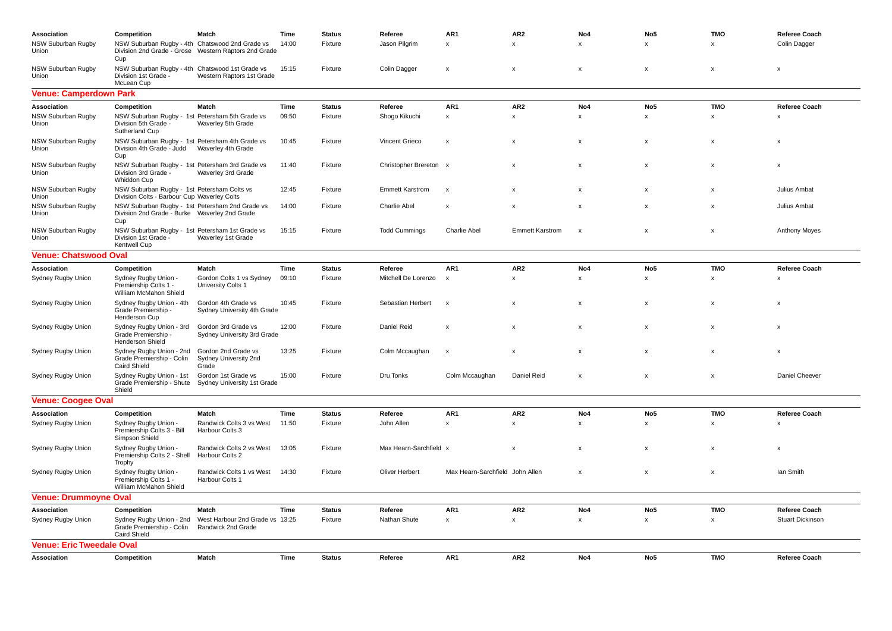| Association                        | Competition                                                                                             | Match                                                 | Time  | <b>Status</b> | Referee                | AR1                             | AR <sub>2</sub>           | No4                | No <sub>5</sub>           | <b>TMO</b>                | <b>Referee Coach</b>    |
|------------------------------------|---------------------------------------------------------------------------------------------------------|-------------------------------------------------------|-------|---------------|------------------------|---------------------------------|---------------------------|--------------------|---------------------------|---------------------------|-------------------------|
| <b>NSW Suburban Rugby</b><br>Union | NSW Suburban Rugby - 4th Chatswood 2nd Grade vs<br>Cup                                                  | Division 2nd Grade - Grose Western Raptors 2nd Grade  | 14:00 | Fixture       | Jason Pilgrim          | $\mathsf{x}$                    | $\times$                  | $\times$           | $\mathsf{x}$              | $\mathsf{x}$              | Colin Dagger            |
| <b>NSW Suburban Rugby</b><br>Union | NSW Suburban Rugby - 4th Chatswood 1st Grade vs<br>Division 1st Grade<br>McLean Cup                     | Western Raptors 1st Grade                             | 15:15 | Fixture       | Colin Dagger           | $\boldsymbol{\mathsf{x}}$       | x                         | x                  | x                         | x                         | x                       |
| <b>Venue: Camperdown Park</b>      |                                                                                                         |                                                       |       |               |                        |                                 |                           |                    |                           |                           |                         |
| Association                        | Competition                                                                                             | Match                                                 | Time  | <b>Status</b> | Referee                | AR1                             | AR <sub>2</sub>           | No4                | No <sub>5</sub>           | <b>TMO</b>                | <b>Referee Coach</b>    |
| NSW Suburban Rugby<br>Union        | NSW Suburban Rugby - 1st Petersham 5th Grade vs<br>Division 5th Grade<br>Sutherland Cup                 | Waverley 5th Grade                                    | 09:50 | Fixture       | Shogo Kikuchi          | $\pmb{\mathsf{x}}$              | $\pmb{\mathsf{x}}$        | $\pmb{\mathsf{x}}$ | $\pmb{\mathsf{x}}$        | $\pmb{\times}$            | $\pmb{\mathsf{x}}$      |
| <b>NSW Suburban Rugby</b><br>Union | NSW Suburban Rugby - 1st Petersham 4th Grade vs<br>Division 4th Grade - Judd<br>Cup                     | Waverley 4th Grade                                    | 10:45 | Fixture       | Vincent Grieco         | $\boldsymbol{\mathsf{x}}$       | $\boldsymbol{\mathsf{x}}$ | $\mathsf{x}$       | $\pmb{\chi}$              | x                         | x                       |
| <b>NSW Suburban Rugby</b><br>Union | NSW Suburban Rugby - 1st Petersham 3rd Grade vs<br>Division 3rd Grade -<br>Whiddon Cup                  | Waverley 3rd Grade                                    | 11:40 | Fixture       | Christopher Brereton x |                                 | x                         | x                  | x                         | x                         | x                       |
| <b>NSW Suburban Rugby</b><br>Union | NSW Suburban Rugby - 1st Petersham Colts vs<br>Division Colts - Barbour Cup Waverley Colts              |                                                       | 12:45 | Fixture       | <b>Emmett Karstrom</b> | $\boldsymbol{\mathsf{x}}$       | $\boldsymbol{\mathsf{x}}$ | $\mathsf{x}$       | $\mathsf{x}$              | $\mathsf{x}$              | Julius Ambat            |
| <b>NSW Suburban Rugby</b><br>Union | NSW Suburban Rugby - 1st Petersham 2nd Grade vs<br>Division 2nd Grade - Burke Waverley 2nd Grade<br>Cup |                                                       | 14:00 | Fixture       | <b>Charlie Abel</b>    | $\boldsymbol{\mathsf{x}}$       | $\boldsymbol{\mathsf{x}}$ | $\mathsf{x}$       | $\pmb{\mathsf{x}}$        | $\pmb{\mathsf{x}}$        | Julius Ambat            |
| <b>NSW Suburban Rugby</b><br>Union | NSW Suburban Rugby - 1st Petersham 1st Grade vs<br>Division 1st Grade -<br>Kentwell Cup                 | Waverley 1st Grade                                    | 15:15 | Fixture       | <b>Todd Cummings</b>   | <b>Charlie Abel</b>             | <b>Emmett Karstrom</b>    | X                  | $\boldsymbol{\mathsf{x}}$ | $\boldsymbol{\mathsf{x}}$ | <b>Anthony Moyes</b>    |
| <b>Venue: Chatswood Oval</b>       |                                                                                                         |                                                       |       |               |                        |                                 |                           |                    |                           |                           |                         |
| Association                        | Competition                                                                                             | Match                                                 | Time  | <b>Status</b> | Referee                | AR1                             | AR <sub>2</sub>           | No4                | No <sub>5</sub>           | <b>TMO</b>                | <b>Referee Coach</b>    |
| Sydney Rugby Union                 | Sydney Rugby Union -<br>Premiership Colts 1 -<br>William McMahon Shield                                 | Gordon Colts 1 vs Sydney<br>University Colts 1        | 09:10 | Fixture       | Mitchell De Lorenzo    | $\boldsymbol{\mathsf{x}}$       | x                         | $\times$           | $\mathsf{x}$              | $\mathsf{x}$              | x                       |
| Sydney Rugby Union                 | Sydney Rugby Union - 4th<br>Grade Premiership -<br>Henderson Cup                                        | Gordon 4th Grade vs<br>Sydney University 4th Grade    | 10:45 | Fixture       | Sebastian Herbert      | $\boldsymbol{\mathsf{x}}$       | $\boldsymbol{\mathsf{x}}$ | x                  | x                         | x                         | x                       |
| Sydney Rugby Union                 | Sydney Rugby Union - 3rd<br>Grade Premiership -<br><b>Henderson Shield</b>                              | Gordon 3rd Grade vs<br>Sydney University 3rd Grade    | 12:00 | Fixture       | Daniel Reid            | $\boldsymbol{\mathsf{x}}$       | $\boldsymbol{\mathsf{x}}$ | X                  | X                         | X                         | x                       |
| Sydney Rugby Union                 | Sydney Rugby Union - 2nd<br>Grade Premiership - Colin<br><b>Caird Shield</b>                            | Gordon 2nd Grade vs<br>Sydney University 2nd<br>Grade | 13:25 | Fixture       | Colm Mccaughan         | $\boldsymbol{\mathsf{x}}$       | $\boldsymbol{\mathsf{x}}$ | X                  | X                         | X                         | x                       |
| Sydney Rugby Union                 | Sydney Rugby Union - 1st<br>Grade Premiership - Shute<br>Shield                                         | Gordon 1st Grade vs<br>Sydney University 1st Grade    | 15:00 | Fixture       | Dru Tonks              | Colm Mccaughan                  | Daniel Reid               | $\pmb{\times}$     | $\pmb{\times}$            | $\pmb{\times}$            | Daniel Cheever          |
| <b>Venue: Coogee Oval</b>          |                                                                                                         |                                                       |       |               |                        |                                 |                           |                    |                           |                           |                         |
| Association                        | Competition                                                                                             | Match                                                 | Time  | <b>Status</b> | Referee                | AR1                             | AR <sub>2</sub>           | No4                | No <sub>5</sub>           | <b>TMO</b>                | <b>Referee Coach</b>    |
| Sydney Rugby Union                 | Sydney Rugby Union -<br>Premiership Colts 3 - Bill<br>Simpson Shield                                    | Randwick Colts 3 vs West<br>Harbour Colts 3           | 11:50 | Fixture       | John Allen             | $\pmb{\mathsf{x}}$              | $\mathsf x$               | $\mathsf x$        | $\pmb{\times}$            | $\pmb{\times}$            | $\pmb{\mathsf{x}}$      |
| Sydney Rugby Union                 | Sydney Rugby Union -<br>Premiership Colts 2 - Shell<br>Trophy                                           | Randwick Colts 2 vs West<br>Harbour Colts 2           | 13:05 | Fixture       | Max Hearn-Sarchfield x |                                 | $\boldsymbol{\mathsf{x}}$ | $\mathsf{x}$       | $\mathsf{x}$              | $\mathsf{x}$              | x                       |
| Sydney Rugby Union                 | Sydney Rugby Union -<br>Premiership Colts 1 -<br>William McMahon Shield                                 | Randwick Colts 1 vs West<br>Harbour Colts 1           | 14:30 | Fixture       | <b>Oliver Herbert</b>  | Max Hearn-Sarchfield John Allen |                           | X                  | $\boldsymbol{\mathsf{x}}$ | $\boldsymbol{\mathsf{x}}$ | lan Smith               |
| <b>Venue: Drummoyne Oval</b>       |                                                                                                         |                                                       |       |               |                        |                                 |                           |                    |                           |                           |                         |
| Association                        | Competition                                                                                             | Match                                                 | Time  | <b>Status</b> | Referee                | AR1                             | AR <sub>2</sub>           | No4                | No <sub>5</sub>           | <b>TMO</b>                | <b>Referee Coach</b>    |
| Sydney Rugby Union                 | Sydney Rugby Union - 2nd<br>Grade Premiership - Colin<br><b>Caird Shield</b>                            | West Harbour 2nd Grade vs 13:25<br>Randwick 2nd Grade |       | Fixture       | Nathan Shute           | $\pmb{\mathsf{x}}$              | x                         | x                  | $\pmb{\mathsf{x}}$        | $\pmb{\times}$            | <b>Stuart Dickinson</b> |
| Venue: Eric Tweedale Oval          |                                                                                                         |                                                       |       |               |                        |                                 |                           |                    |                           |                           |                         |
| <b>Association</b>                 | Competition                                                                                             | Match                                                 | Time  | <b>Status</b> | Referee                | AR <sub>1</sub>                 | AR <sub>2</sub>           | No <sub>4</sub>    | No <sub>5</sub>           | <b>TMO</b>                | <b>Referee Coach</b>    |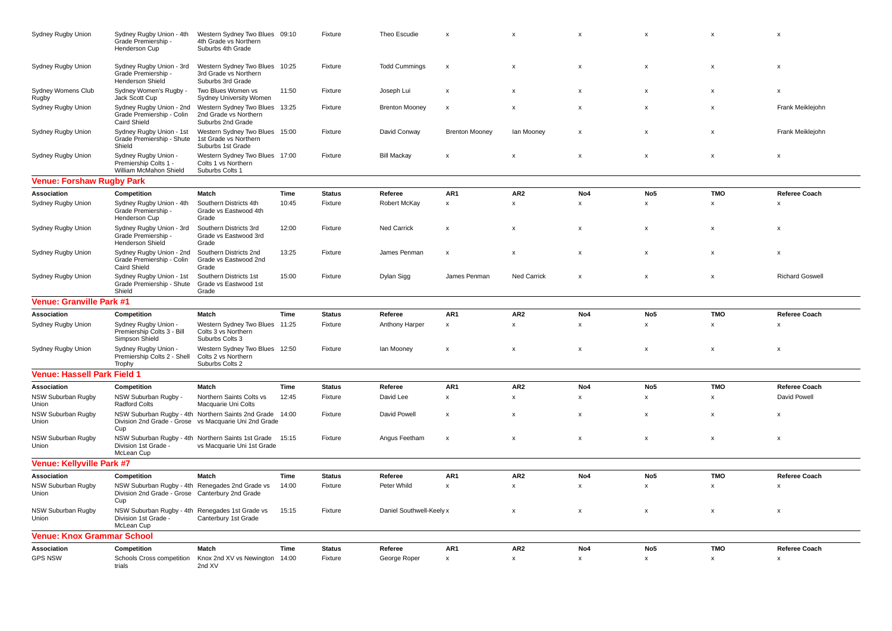| Sydney Rugby Union                 | Sydney Rugby Union - 4th<br>Grade Premiership -<br>Henderson Cup                      | Western Sydney Two Blues 09:10<br>4th Grade vs Northern<br>Suburbs 4th Grade                                      |       | Fixture       | Theo Escudie             | $\boldsymbol{\mathsf{x}}$ | $\boldsymbol{\mathsf{x}}$ | X              | x                  | x                         | X                         |
|------------------------------------|---------------------------------------------------------------------------------------|-------------------------------------------------------------------------------------------------------------------|-------|---------------|--------------------------|---------------------------|---------------------------|----------------|--------------------|---------------------------|---------------------------|
| Sydney Rugby Union                 | Sydney Rugby Union - 3rd<br>Grade Premiership -<br><b>Henderson Shield</b>            | Western Sydney Two Blues 10:25<br>3rd Grade vs Northern<br>Suburbs 3rd Grade                                      |       | Fixture       | <b>Todd Cummings</b>     | $\boldsymbol{\mathsf{x}}$ | $\boldsymbol{\mathsf{x}}$ | X              | x                  | x                         | x                         |
| Sydney Womens Club<br>Rugby        | Sydney Women's Rugby -<br>Jack Scott Cup                                              | Two Blues Women vs<br>Sydney University Women                                                                     | 11:50 | Fixture       | Joseph Lui               | $\boldsymbol{\mathsf{x}}$ | $\mathbf{x}$              | $\mathbf{x}$   | $\mathbf x$        | X                         | X                         |
| Sydney Rugby Union                 | Sydney Rugby Union - 2nd<br>Grade Premiership - Colin<br><b>Caird Shield</b>          | Western Sydney Two Blues<br>2nd Grade vs Northern<br>Suburbs 2nd Grade                                            | 13:25 | Fixture       | <b>Brenton Mooney</b>    | $\boldsymbol{\mathsf{x}}$ | $\boldsymbol{\mathsf{x}}$ | $\mathsf{x}$   | $\pmb{\mathsf{x}}$ | $\mathsf{x}$              | Frank Meiklejohn          |
| Sydney Rugby Union                 | Sydney Rugby Union - 1st<br>Grade Premiership - Shute<br>Shield                       | Western Sydney Two Blues 15:00<br>1st Grade vs Northern<br>Suburbs 1st Grade                                      |       | Fixture       | David Conway             | <b>Brenton Mooney</b>     | lan Mooney                | x              | x                  | x                         | Frank Meiklejohn          |
| Sydney Rugby Union                 | Sydney Rugby Union -<br>Premiership Colts 1 -<br>William McMahon Shield               | Western Sydney Two Blues 17:00<br>Colts 1 vs Northern<br>Suburbs Colts 1                                          |       | Fixture       | <b>Bill Mackay</b>       | $\boldsymbol{\mathsf{x}}$ | $\boldsymbol{\mathsf{x}}$ | $\mathsf{x}$   | $\pmb{\mathsf{x}}$ | $\pmb{\mathsf{x}}$        | $\boldsymbol{\mathsf{x}}$ |
| Venue: Forshaw Rugby Park          |                                                                                       |                                                                                                                   |       |               |                          |                           |                           |                |                    |                           |                           |
| Association                        | Competition                                                                           | Match                                                                                                             | Time  | <b>Status</b> | Referee                  | AR1                       | AR <sub>2</sub>           | No4            | No <sub>5</sub>    | <b>TMO</b>                | <b>Referee Coach</b>      |
| Sydney Rugby Union                 | Sydney Rugby Union - 4th<br>Grade Premiership -<br>Henderson Cup                      | Southern Districts 4th<br>Grade vs Eastwood 4th<br>Grade                                                          | 10:45 | Fixture       | Robert McKay             | $\pmb{\mathsf{x}}$        | $\pmb{\mathsf{x}}$        | $\mathsf{x}$   | x                  | x                         | $\boldsymbol{\mathsf{x}}$ |
| Sydney Rugby Union                 | Sydney Rugby Union - 3rd<br>Grade Premiership -<br>Henderson Shield                   | Southern Districts 3rd<br>Grade vs Eastwood 3rd<br>Grade                                                          | 12:00 | Fixture       | Ned Carrick              | $\boldsymbol{\mathsf{x}}$ | $\boldsymbol{\mathsf{x}}$ | x              | x                  | x                         | x                         |
| Sydney Rugby Union                 | Sydney Rugby Union - 2nd<br>Grade Premiership - Colin<br><b>Caird Shield</b>          | Southern Districts 2nd<br>Grade vs Eastwood 2nd<br>Grade                                                          | 13:25 | Fixture       | James Penman             | $\boldsymbol{\mathsf{x}}$ | $\boldsymbol{\mathsf{x}}$ | X              | X                  | $\boldsymbol{\mathsf{x}}$ | $\boldsymbol{\mathsf{x}}$ |
| Sydney Rugby Union                 | Sydney Rugby Union - 1st<br>Grade Premiership - Shute<br>Shield                       | Southern Districts 1st<br>Grade vs Eastwood 1st<br>Grade                                                          | 15:00 | Fixture       | Dylan Sigg               | James Penman              | <b>Ned Carrick</b>        | $\pmb{\times}$ | X                  | $\pmb{\mathsf{x}}$        | <b>Richard Goswell</b>    |
| <b>Venue: Granville Park #1</b>    |                                                                                       |                                                                                                                   |       |               |                          |                           |                           |                |                    |                           |                           |
| Association                        | Competition                                                                           | Match                                                                                                             | Time  | <b>Status</b> | Referee                  | AR1                       | AR <sub>2</sub>           | No4            | No <sub>5</sub>    | <b>TMO</b>                | <b>Referee Coach</b>      |
| Sydney Rugby Union                 | Sydney Rugby Union -<br>Premiership Colts 3 - Bill<br>Simpson Shield                  | Western Sydney Two Blues 11:25<br>Colts 3 vs Northern<br>Suburbs Colts 3                                          |       | Fixture       | Anthony Harper           | $\pmb{\mathsf{x}}$        | $\boldsymbol{\mathsf{x}}$ | $\mathsf{x}$   | x                  | x                         | $\mathsf{x}$              |
| Sydney Rugby Union                 | Sydney Rugby Union -<br>Premiership Colts 2 - Shell<br>Trophy                         | Western Sydney Two Blues 12:50<br>Colts 2 vs Northern<br>Suburbs Colts 2                                          |       | Fixture       | lan Mooney               | $\boldsymbol{\mathsf{x}}$ | $\boldsymbol{\mathsf{x}}$ | X              | x                  | X                         | X                         |
| Venue: Hassell Park Field 1        |                                                                                       |                                                                                                                   |       |               |                          |                           |                           |                |                    |                           |                           |
| Association                        | Competition                                                                           | Match                                                                                                             | Time  | <b>Status</b> | Referee                  | AR1                       | AR <sub>2</sub>           | No4            | No <sub>5</sub>    | <b>TMO</b>                | <b>Referee Coach</b>      |
| <b>NSW Suburban Rugby</b><br>Union | NSW Suburban Rugby -<br><b>Radford Colts</b>                                          | Northern Saints Colts vs<br>Macquarie Uni Colts                                                                   | 12:45 | Fixture       | David Lee                | $\pmb{\chi}$              | $\pmb{\mathsf{x}}$        | $\mathsf{x}$   | x                  | x                         | David Powell              |
| NSW Suburban Rugby<br>Union        | Cup                                                                                   | NSW Suburban Rugby - 4th Northern Saints 2nd Grade 14:00<br>Division 2nd Grade - Grose vs Macquarie Uni 2nd Grade |       | Fixture       | David Powell             | $\boldsymbol{\mathsf{x}}$ | $\boldsymbol{\mathsf{x}}$ | X              | X                  | X                         | $\boldsymbol{\mathsf{x}}$ |
| NSW Suburban Rugby<br>Union        | Division 1st Grade -<br>McLean Cup                                                    | NSW Suburban Rugby - 4th Northern Saints 1st Grade<br>vs Macquarie Uni 1st Grade                                  | 15:15 | Fixture       | Angus Feetham            | $\boldsymbol{\mathsf{x}}$ | $\pmb{\mathsf{x}}$        | $\mathsf{x}$   | x                  | x                         | $\mathsf{x}$              |
| Venue: Kellyville Park #7          |                                                                                       |                                                                                                                   |       |               |                          |                           |                           |                |                    |                           |                           |
| Association                        | Competition                                                                           | Match                                                                                                             | Time  | <b>Status</b> | Referee                  | AR1                       | AR <sub>2</sub>           | No4            | No <sub>5</sub>    | <b>TMO</b>                | <b>Referee Coach</b>      |
| NSW Suburban Rugby<br>Union        | Division 2nd Grade - Grose Canterbury 2nd Grade<br>Cup                                | NSW Suburban Rugby - 4th Renegades 2nd Grade vs                                                                   | 14:00 | Fixture       | Peter Whild              | $\pmb{\mathsf{x}}$        | $\pmb{\mathsf{x}}$        | $\pmb{\times}$ | $\pmb{\mathsf{x}}$ | $\pmb{\mathsf{x}}$        | X                         |
| NSW Suburban Rugby<br>Union        | NSW Suburban Rugby - 4th Renegades 1st Grade vs<br>Division 1st Grade -<br>McLean Cup | Canterbury 1st Grade                                                                                              | 15:15 | Fixture       | Daniel Southwell-Keely x |                           | X                         | x              | $\pmb{\mathsf{x}}$ | $\pmb{\mathsf{x}}$        | x                         |
| Venue: Knox Grammar School         |                                                                                       |                                                                                                                   |       |               |                          |                           |                           |                |                    |                           |                           |
| Association                        | Competition                                                                           | Match                                                                                                             | Time  | <b>Status</b> | Referee                  | AR <sub>1</sub>           | AR <sub>2</sub>           | No4            | No <sub>5</sub>    | <b>TMO</b>                | <b>Referee Coach</b>      |
| <b>GPS NSW</b>                     | Schools Cross competition<br>trials                                                   | Knox 2nd XV vs Newington 14:00<br>2nd XV                                                                          |       | Fixture       | George Roper             | $\boldsymbol{\mathsf{x}}$ | $\boldsymbol{\mathsf{x}}$ | $\mathsf{x}$   | x                  | $\mathsf{x}$              | $\boldsymbol{\mathsf{x}}$ |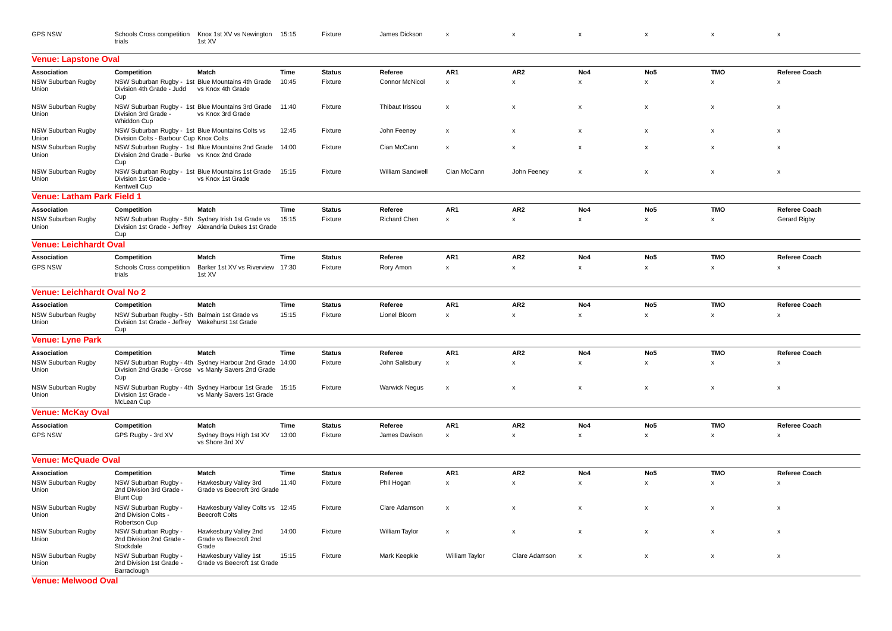| <b>GPS NSW</b> | Schools Cross competition Knox 1st XV vs Newington 15:15 Fixture |  |  | s a state of the state of the state of the state of the state of the state of the state of the state of the state of the state of the state of the state of the state of the state of the state of the state of the state of t |  |  |
|----------------|------------------------------------------------------------------|--|--|--------------------------------------------------------------------------------------------------------------------------------------------------------------------------------------------------------------------------------|--|--|
|                |                                                                  |  |  |                                                                                                                                                                                                                                |  |  |

| <b>Venue: Lapstone Oval</b>        |                                                                                                          |                                                                                                               |       |               |                      |                           |                           |                 |                           |              |                           |
|------------------------------------|----------------------------------------------------------------------------------------------------------|---------------------------------------------------------------------------------------------------------------|-------|---------------|----------------------|---------------------------|---------------------------|-----------------|---------------------------|--------------|---------------------------|
| Association                        | Competition                                                                                              | Match                                                                                                         | Time  | <b>Status</b> | Referee              | AR <sub>1</sub>           | AR <sub>2</sub>           | No <sub>4</sub> | No <sub>5</sub>           | <b>TMO</b>   | Referee Coach             |
| <b>NSW Suburban Rugby</b><br>Union | Division 4th Grade - Judd<br>Cup                                                                         | NSW Suburban Rugby - 1st Blue Mountains 4th Grade<br>vs Knox 4th Grade                                        | 10:45 | Fixture       | Connor McNicol       | $\boldsymbol{\mathsf{x}}$ | $\boldsymbol{\mathsf{x}}$ | $\pmb{\times}$  | x                         | x            | $\mathsf{x}$              |
| <b>NSW Suburban Rugby</b><br>Union | Division 3rd Grade -<br>Whiddon Cup                                                                      | NSW Suburban Rugby - 1st Blue Mountains 3rd Grade<br>vs Knox 3rd Grade                                        | 11:40 | Fixture       | Thibaut Irissou      | $\boldsymbol{\mathsf{x}}$ | $\boldsymbol{\mathsf{x}}$ | $\mathsf{x}$    | $\boldsymbol{\mathsf{x}}$ | $\mathsf{x}$ | $\boldsymbol{\mathsf{x}}$ |
| <b>NSW Suburban Rugby</b><br>Union | NSW Suburban Rugby - 1st Blue Mountains Colts vs<br>Division Colts - Barbour Cup Knox Colts              |                                                                                                               | 12:45 | Fixture       | John Feeney          | $\boldsymbol{\mathsf{x}}$ | $\boldsymbol{\mathsf{x}}$ | X               | $\boldsymbol{\mathsf{x}}$ | X            | $\boldsymbol{\mathsf{x}}$ |
| <b>NSW Suburban Rugby</b><br>Union | Division 2nd Grade - Burke vs Knox 2nd Grade<br>Cup                                                      | NSW Suburban Rugby - 1st Blue Mountains 2nd Grade                                                             | 14:00 | Fixture       | Cian McCann          | $\boldsymbol{\mathsf{x}}$ | $\mathbf{x}$              | $\pmb{\times}$  | $\boldsymbol{\mathsf{x}}$ | $\mathsf{x}$ | $\boldsymbol{\mathsf{x}}$ |
| <b>NSW Suburban Rugby</b><br>Union | Division 1st Grade -<br>Kentwell Cup                                                                     | NSW Suburban Rugby - 1st Blue Mountains 1st Grade<br>vs Knox 1st Grade                                        | 15:15 | Fixture       | William Sandwell     | Cian McCann               | John Feeney               | $\pmb{\times}$  | x                         | x            | $\boldsymbol{\mathsf{x}}$ |
| <b>Venue: Latham Park Field 1</b>  |                                                                                                          |                                                                                                               |       |               |                      |                           |                           |                 |                           |              |                           |
| Association                        | Competition                                                                                              | Match                                                                                                         | Time  | <b>Status</b> | Referee              | AR1                       | AR <sub>2</sub>           | No4             | No <sub>5</sub>           | <b>TMO</b>   | Referee Coach             |
| <b>NSW Suburban Rugby</b><br>Union | Cup                                                                                                      | NSW Suburban Rugby - 5th Sydney Irish 1st Grade vs<br>Division 1st Grade - Jeffrey Alexandria Dukes 1st Grade | 15:15 | Fixture       | Richard Chen         | $\pmb{\mathsf{x}}$        | $\pmb{\mathsf{x}}$        | x               | x                         | x            | Gerard Rigby              |
| <b>Venue: Leichhardt Oval</b>      |                                                                                                          |                                                                                                               |       |               |                      |                           |                           |                 |                           |              |                           |
| <b>Association</b>                 | Competition                                                                                              | Match                                                                                                         | Time  | <b>Status</b> | Referee              | AR1                       | AR <sub>2</sub>           | No4             | No <sub>5</sub>           | <b>TMO</b>   | <b>Referee Coach</b>      |
| <b>GPS NSW</b>                     | Schools Cross competition<br>trials                                                                      | Barker 1st XV vs Riverview 17:30<br>1st XV                                                                    |       | Fixture       | Rory Amon            | $\pmb{\mathsf{x}}$        | $\pmb{\mathsf{x}}$        | $\pmb{\times}$  | x                         | x            | X                         |
| <b>Venue: Leichhardt Oval No 2</b> |                                                                                                          |                                                                                                               |       |               |                      |                           |                           |                 |                           |              |                           |
| Association                        | Competition                                                                                              | Match                                                                                                         | Time  | <b>Status</b> | Referee              | AR1                       | AR <sub>2</sub>           | No4             | No <sub>5</sub>           | <b>TMO</b>   | <b>Referee Coach</b>      |
| <b>NSW Suburban Rugby</b><br>Union | NSW Suburban Rugby - 5th Balmain 1st Grade vs<br>Division 1st Grade - Jeffrey Wakehurst 1st Grade<br>Cup |                                                                                                               | 15:15 | Fixture       | Lionel Bloom         | $\pmb{\chi}$              | $\pmb{\mathsf{x}}$        | x               | x                         | x            | $\boldsymbol{\mathsf{x}}$ |
| <b>Venue: Lyne Park</b>            |                                                                                                          |                                                                                                               |       |               |                      |                           |                           |                 |                           |              |                           |
| Association                        | Competition                                                                                              | Match                                                                                                         | Time  | <b>Status</b> | Referee              | AR1                       | AR <sub>2</sub>           | No4             | No <sub>5</sub>           | <b>TMO</b>   | Referee Coach             |
| <b>NSW Suburban Rugby</b><br>Union | Cup                                                                                                      | NSW Suburban Rugby - 4th Sydney Harbour 2nd Grade<br>Division 2nd Grade - Grose vs Manly Savers 2nd Grade     | 14:00 | Fixture       | John Salisbury       | $\pmb{\chi}$              | $\pmb{\mathsf{x}}$        | $\mathsf{x}$    | $\pmb{\chi}$              | x            | X                         |
| <b>NSW Suburban Rugby</b><br>Union | Division 1st Grade -<br>McLean Cup                                                                       | NSW Suburban Rugby - 4th Sydney Harbour 1st Grade 15:15<br>vs Manly Savers 1st Grade                          |       | Fixture       | <b>Warwick Negus</b> | $\boldsymbol{\mathsf{x}}$ | $\boldsymbol{\mathsf{x}}$ | $\pmb{\times}$  | $\pmb{\times}$            | x            | $\boldsymbol{\mathsf{x}}$ |
| <b>Venue: McKay Oval</b>           |                                                                                                          |                                                                                                               |       |               |                      |                           |                           |                 |                           |              |                           |
| Association                        | Competition                                                                                              | Match                                                                                                         | Time  | <b>Status</b> | Referee              | AR <sub>1</sub>           | AR <sub>2</sub>           | No4             | No <sub>5</sub>           | <b>TMO</b>   | <b>Referee Coach</b>      |
| <b>GPS NSW</b>                     | GPS Rugby - 3rd XV                                                                                       | Sydney Boys High 1st XV<br>vs Shore 3rd XV                                                                    | 13:00 | Fixture       | James Davison        | $\pmb{\mathsf{x}}$        | $\pmb{\mathsf{x}}$        | $\pmb{\times}$  | $\mathsf X$               | x            | X                         |
| <b>Venue: McQuade Oval</b>         |                                                                                                          |                                                                                                               |       |               |                      |                           |                           |                 |                           |              |                           |
| <b>Association</b>                 | Competition                                                                                              | Match                                                                                                         | Time  | <b>Status</b> | Referee              | AR1                       | AR <sub>2</sub>           | No4             | No <sub>5</sub>           | <b>TMO</b>   | <b>Referee Coach</b>      |
| NSW Suburban Rugby<br>Union        | NSW Suburban Rugby -<br>2nd Division 3rd Grade -<br><b>Blunt Cup</b>                                     | Hawkesbury Valley 3rd<br>Grade vs Beecroft 3rd Grade                                                          | 11:40 | Fixture       | Phil Hogan           | $\pmb{\chi}$              | $\pmb{\mathsf{x}}$        | x               | $\pmb{\chi}$              | x            | X                         |
| <b>NSW Suburban Rugby</b><br>Union | NSW Suburban Rugby -<br>2nd Division Colts -<br>Robertson Cup                                            | Hawkesbury Valley Colts vs 12:45<br><b>Beecroft Colts</b>                                                     |       | Fixture       | Clare Adamson        | $\boldsymbol{\mathsf{x}}$ | $\boldsymbol{\mathsf{x}}$ | X               | $\boldsymbol{\mathsf{x}}$ | X            | $\boldsymbol{\mathsf{x}}$ |
| <b>NSW Suburban Rugby</b><br>Union | NSW Suburban Rugby -<br>2nd Division 2nd Grade -<br>Stockdale                                            | Hawkesbury Valley 2nd<br>Grade vs Beecroft 2nd<br>Grade                                                       | 14:00 | Fixture       | William Taylor       | X                         | x                         | $\pmb{\times}$  | x                         | x            | $\boldsymbol{\mathsf{x}}$ |
| <b>NSW Suburban Rugby</b><br>Union | NSW Suburban Rugby -<br>2nd Division 1st Grade -<br>Barraclough                                          | Hawkesbury Valley 1st<br>Grade vs Beecroft 1st Grade                                                          | 15:15 | Fixture       | Mark Keepkie         | William Taylor            | Clare Adamson             | $\mathsf{x}$    | $\pmb{\times}$            | X            | $\boldsymbol{\mathsf{x}}$ |
| .                                  |                                                                                                          |                                                                                                               |       |               |                      |                           |                           |                 |                           |              |                           |

**Venue: Melwood Oval**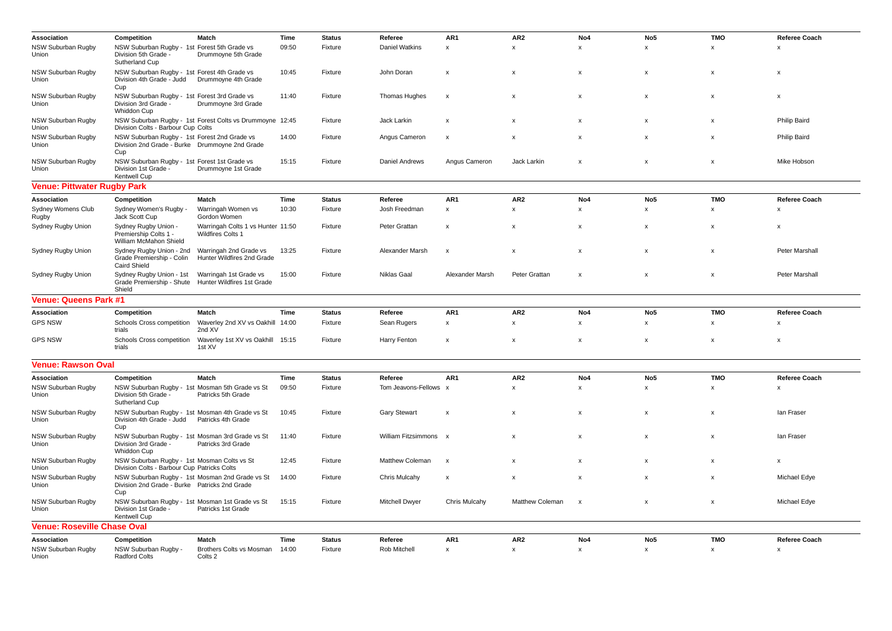| Association                        | Competition                                                                                | Match                                                                          | Time        | <b>Status</b> | Referee                | AR1                       | AR <sub>2</sub>           | No4                       | No <sub>5</sub>           | <b>TMO</b>                | <b>Referee Coach</b>      |
|------------------------------------|--------------------------------------------------------------------------------------------|--------------------------------------------------------------------------------|-------------|---------------|------------------------|---------------------------|---------------------------|---------------------------|---------------------------|---------------------------|---------------------------|
| NSW Suburban Rugby<br>Union        | NSW Suburban Rugby - 1st Forest 5th Grade vs<br>Division 5th Grade -<br>Sutherland Cup     | Drummoyne 5th Grade                                                            | 09:50       | Fixture       | Daniel Watkins         | $\pmb{\mathsf{x}}$        | $\boldsymbol{\mathsf{x}}$ | $\pmb{\times}$            | x                         | $\pmb{\mathsf{x}}$        | X                         |
| NSW Suburban Rugby<br>Union        | NSW Suburban Rugby - 1st Forest 4th Grade vs<br>Cup                                        | Division 4th Grade - Judd Drummoyne 4th Grade                                  | 10:45       | Fixture       | John Doran             | $\boldsymbol{\mathsf{x}}$ | $\boldsymbol{\mathsf{x}}$ | X                         | x                         | x                         | X                         |
| NSW Suburban Rugby<br>Union        | NSW Suburban Rugby - 1st Forest 3rd Grade vs<br>Division 3rd Grade -<br>Whiddon Cup        | Drummoyne 3rd Grade                                                            | 11:40       | Fixture       | Thomas Hughes          | $\boldsymbol{\mathsf{x}}$ | $\boldsymbol{\mathsf{x}}$ | $\mathbf{x}$              | x                         | $\boldsymbol{\mathsf{x}}$ | $\pmb{\times}$            |
| NSW Suburban Rugby<br>Union        | Division Colts - Barbour Cup Colts                                                         | NSW Suburban Rugby - 1st Forest Colts vs Drummoyne 12:45                       |             | Fixture       | Jack Larkin            | $\boldsymbol{\mathsf{x}}$ | $\boldsymbol{\mathsf{x}}$ | X                         | x                         | X                         | <b>Philip Baird</b>       |
| NSW Suburban Rugby<br>Union        | NSW Suburban Rugby - 1st Forest 2nd Grade vs<br>Cup                                        | Division 2nd Grade - Burke Drummoyne 2nd Grade                                 | 14:00       | Fixture       | Angus Cameron          | X                         | $\boldsymbol{\mathsf{x}}$ | X                         | x                         | x                         | Philip Baird              |
| NSW Suburban Rugby<br>Union        | NSW Suburban Rugby - 1st Forest 1st Grade vs<br>Division 1st Grade -<br>Kentwell Cup       | Drummoyne 1st Grade                                                            | 15:15       | Fixture       | Daniel Andrews         | Angus Cameron             | Jack Larkin               | X                         | $\pmb{\times}$            | X                         | Mike Hobson               |
| <b>Venue: Pittwater Rugby Park</b> |                                                                                            |                                                                                |             |               |                        |                           |                           |                           |                           |                           |                           |
| Association                        | Competition                                                                                | Match                                                                          | Time        | <b>Status</b> | Referee                | AR1                       | AR <sub>2</sub>           | No4                       | No <sub>5</sub>           | <b>TMO</b>                | Referee Coach             |
| <b>Sydney Womens Club</b><br>Rugby | Sydney Women's Rugby<br>Jack Scott Cup                                                     | Warringah Women vs<br>Gordon Women                                             | 10:30       | Fixture       | Josh Freedman          | $\mathsf{x}$              | $\mathsf{x}$              | $\mathbf{x}$              | $\mathsf{x}$              | $\times$                  | $\boldsymbol{\mathsf{x}}$ |
| Sydney Rugby Union                 | Sydney Rugby Union -<br>Premiership Colts 1 -<br>William McMahon Shield                    | Warringah Colts 1 vs Hunter 11:50<br>Wildfires Colts 1                         |             | Fixture       | Peter Grattan          | X                         | $\boldsymbol{\mathsf{x}}$ | х                         | х                         | х                         | x                         |
| Sydney Rugby Union                 | Sydney Rugby Union - 2nd<br>Grade Premiership - Colin<br>Caird Shield                      | Warringah 2nd Grade vs<br>Hunter Wildfires 2nd Grade                           | 13:25       | Fixture       | Alexander Marsh        | $\boldsymbol{\mathsf{x}}$ | $\boldsymbol{\mathsf{x}}$ | X                         | x                         | x                         | Peter Marshall            |
| Sydney Rugby Union                 | Sydney Rugby Union - 1st<br>Shield                                                         | Warringah 1st Grade vs<br>Grade Premiership - Shute Hunter Wildfires 1st Grade | 15:00       | Fixture       | <b>Niklas Gaal</b>     | Alexander Marsh           | Peter Grattan             | $\mathsf{x}$              | $\boldsymbol{\mathsf{x}}$ | $\boldsymbol{\mathsf{x}}$ | <b>Peter Marshall</b>     |
| <b>Venue: Queens Park #1</b>       |                                                                                            |                                                                                |             |               |                        |                           |                           |                           |                           |                           |                           |
| Association                        | Competition                                                                                | Match                                                                          | Time        | <b>Status</b> | Referee                | AR1                       | AR <sub>2</sub>           | No4                       | No <sub>5</sub>           | <b>TMO</b>                | <b>Referee Coach</b>      |
| <b>GPS NSW</b>                     | Schools Cross competition<br>trials                                                        | Waverley 2nd XV vs Oakhill<br>2nd XV                                           | 14:00       | Fixture       | Sean Rugers            | $\pmb{\mathsf{x}}$        | $\pmb{\times}$            | $\mathbf{x}$              | x                         | x                         | $\boldsymbol{\mathsf{x}}$ |
| <b>GPS NSW</b>                     | Schools Cross competition<br>trials                                                        | Waverley 1st XV vs Oakhill<br>1st XV                                           | 15:15       | Fixture       | Harry Fenton           | $\boldsymbol{\mathsf{x}}$ | $\boldsymbol{\mathsf{x}}$ | X                         | x                         | x                         | X                         |
| <b>Venue: Rawson Oval</b>          |                                                                                            |                                                                                |             |               |                        |                           |                           |                           |                           |                           |                           |
| Association                        | Competition                                                                                | Match                                                                          | Time        | <b>Status</b> | Referee                | AR1                       | AR <sub>2</sub>           | No4                       | No <sub>5</sub>           | <b>TMO</b>                | <b>Referee Coach</b>      |
| NSW Suburban Rugby<br>Union        | Division 5th Grade -<br>Sutherland Cup                                                     | NSW Suburban Rugby - 1st Mosman 5th Grade vs St<br>Patricks 5th Grade          | 09:50       | Fixture       | Tom Jeavons-Fellows    | $\mathsf{x}$              | $\boldsymbol{\mathsf{x}}$ | $\mathsf{x}$              | x                         | x                         | X                         |
| NSW Suburban Rugby<br>Union        | Division 4th Grade - Judd  Patricks 4th Grade<br>Cup                                       | NSW Suburban Rugby - 1st Mosman 4th Grade vs St                                | 10:45       | Fixture       | <b>Gary Stewart</b>    | X                         | $\boldsymbol{\mathsf{x}}$ | $\pmb{\times}$            | x                         | X                         | lan Fraser                |
| NSW Suburban Rugby<br>Union        | Division 3rd Grade -<br>Whiddon Cup                                                        | NSW Suburban Rugby - 1st Mosman 3rd Grade vs St<br>Patricks 3rd Grade          | 11:40       | Fixture       | William Fitzsimmons x  |                           | $\boldsymbol{\mathsf{x}}$ | $\mathsf{x}$              | x                         | $\pmb{\times}$            | lan Fraser                |
| NSW Suburban Rugby<br>Union        | NSW Suburban Rugby - 1st Mosman Colts vs St<br>Division Colts - Barbour Cup Patricks Colts |                                                                                | 12:45       | Fixture       | <b>Matthew Coleman</b> | $\boldsymbol{\mathsf{x}}$ | $\boldsymbol{\mathsf{x}}$ | X                         | $\boldsymbol{\mathsf{x}}$ | X                         | X                         |
| NSW Suburban Rugby<br>Union        | Division 2nd Grade - Burke Patricks 2nd Grade<br>Cup                                       | NSW Suburban Rugby - 1st Mosman 2nd Grade vs St                                | 14:00       | Fixture       | Chris Mulcahy          | $\boldsymbol{\mathsf{x}}$ | $\boldsymbol{\mathsf{x}}$ | X                         | $\mathsf{x}$              | X                         | Michael Edye              |
| <b>NSW Suburban Rugby</b><br>Union | Division 1st Grade -<br>Kentwell Cup                                                       | NSW Suburban Rugby - 1st Mosman 1st Grade vs St<br>Patricks 1st Grade          | 15:15       | Fixture       | Mitchell Dwyer         | Chris Mulcahy             | <b>Matthew Coleman</b>    | $\boldsymbol{\mathsf{x}}$ | $\pmb{\mathsf{x}}$        | x                         | Michael Edye              |
| <b>Venue: Roseville Chase Oval</b> |                                                                                            |                                                                                |             |               |                        |                           |                           |                           |                           |                           |                           |
| Association                        | Competition                                                                                | Match                                                                          | <b>Time</b> | <b>Status</b> | Referee                | AR1                       | AR <sub>2</sub>           | No4                       | No <sub>5</sub>           | <b>TMO</b>                | <b>Referee Coach</b>      |
| NSW Suburban Rugby<br>Union        | NSW Suburban Rugby -<br><b>Radford Colts</b>                                               | Brothers Colts vs Mosman<br>Colts 2                                            | 14:00       | Fixture       | Rob Mitchell           | $\pmb{\mathsf{x}}$        | $\pmb{\times}$            | x                         | x                         | x                         | $\pmb{\times}$            |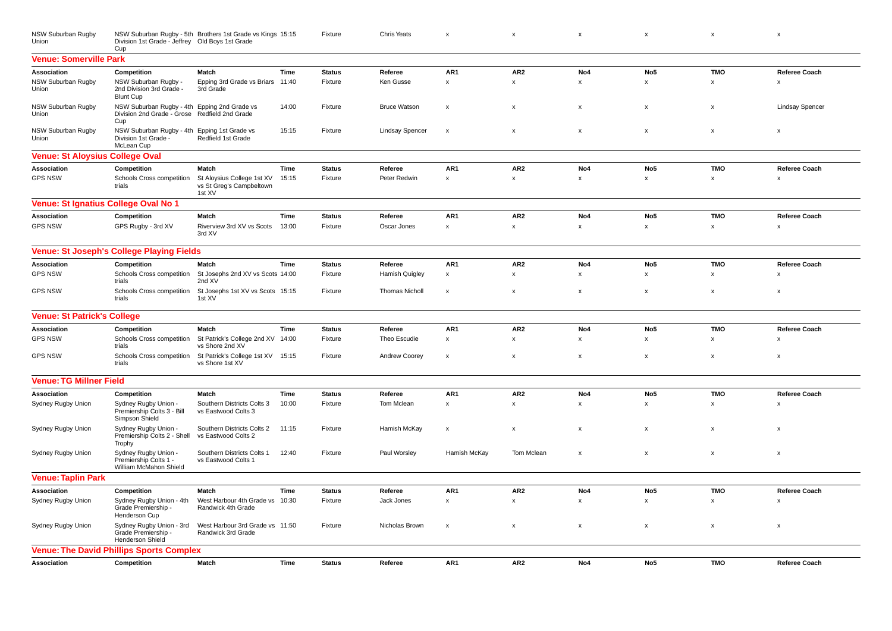| NSW Suburban Rugby<br>Union            | Division 1st Grade - Jeffrey Old Boys 1st Grade<br>Cup                                               | NSW Suburban Rugby - 5th Brothers 1st Grade vs Kings 15:15       |       | Fixture       | Chris Yeats            | $\boldsymbol{\mathsf{x}}$ | $\pmb{\mathsf{x}}$        | $\pmb{\mathsf{x}}$        | $\pmb{\mathsf{x}}$ | $\pmb{\mathsf{x}}$        | $\pmb{\times}$         |
|----------------------------------------|------------------------------------------------------------------------------------------------------|------------------------------------------------------------------|-------|---------------|------------------------|---------------------------|---------------------------|---------------------------|--------------------|---------------------------|------------------------|
| <b>Venue: Somerville Park</b>          |                                                                                                      |                                                                  |       |               |                        |                           |                           |                           |                    |                           |                        |
| <b>Association</b>                     | Competition                                                                                          | <b>Match</b>                                                     | Time  | <b>Status</b> | Referee                | AR <sub>1</sub>           | AR <sub>2</sub>           | No <sub>4</sub>           | No <sub>5</sub>    | <b>TMO</b>                | <b>Referee Coach</b>   |
| NSW Suburban Rugby<br>Union            | NSW Suburban Rugby -<br>2nd Division 3rd Grade -<br><b>Blunt Cup</b>                                 | Epping 3rd Grade vs Briars 11:40<br>3rd Grade                    |       | Fixture       | Ken Gusse              | $\boldsymbol{\mathsf{x}}$ | $\pmb{\chi}$              | $\boldsymbol{\mathsf{x}}$ | X                  | x                         | X                      |
| <b>NSW Suburban Rugby</b><br>Union     | NSW Suburban Rugby - 4th Epping 2nd Grade vs<br>Division 2nd Grade - Grose Redfield 2nd Grade<br>Cup |                                                                  | 14:00 | Fixture       | <b>Bruce Watson</b>    | $\pmb{\times}$            | $\boldsymbol{\mathsf{x}}$ | $\pmb{\times}$            | $\pmb{\times}$     | $\pmb{\times}$            | <b>Lindsay Spencer</b> |
| <b>NSW Suburban Rugby</b><br>Union     | NSW Suburban Rugby - 4th Epping 1st Grade vs<br>Division 1st Grade -<br>McLean Cup                   | Redfield 1st Grade                                               | 15:15 | Fixture       | <b>Lindsay Spencer</b> | $\boldsymbol{\mathsf{x}}$ | X                         | $\boldsymbol{\mathsf{x}}$ | $\pmb{\times}$     | $\pmb{\times}$            | $\pmb{\times}$         |
| <b>Venue: St Aloysius College Oval</b> |                                                                                                      |                                                                  |       |               |                        |                           |                           |                           |                    |                           |                        |
| <b>Association</b>                     | Competition                                                                                          | Match                                                            | Time  | <b>Status</b> | Referee                | AR1                       | AR <sub>2</sub>           | No4                       | No <sub>5</sub>    | <b>TMO</b>                | <b>Referee Coach</b>   |
| <b>GPS NSW</b>                         | Schools Cross competition<br>trials                                                                  | St Aloysius College 1st XV<br>vs St Greg's Campbeltown<br>1st XV | 15:15 | Fixture       | Peter Redwin           | $\boldsymbol{\mathsf{x}}$ | $\pmb{\mathsf{x}}$        | $\pmb{\mathsf{x}}$        | $\pmb{\times}$     | x                         | X                      |
| Venue: St Ignatius College Oval No 1   |                                                                                                      |                                                                  |       |               |                        |                           |                           |                           |                    |                           |                        |
| Association                            | Competition                                                                                          | Match                                                            | Time  | <b>Status</b> | Referee                | AR1                       | AR <sub>2</sub>           | No4                       | No <sub>5</sub>    | <b>TMO</b>                | Referee Coach          |
| <b>GPS NSW</b>                         | GPS Rugby - 3rd XV                                                                                   | Riverview 3rd XV vs Scots<br>3rd XV                              | 13:00 | Fixture       | Oscar Jones            | $\boldsymbol{\mathsf{x}}$ | $\pmb{\mathsf{x}}$        | $\pmb{\mathsf{x}}$        | $\pmb{\times}$     | x                         | $\pmb{\times}$         |
|                                        | Venue: St Joseph's College Playing Fields                                                            |                                                                  |       |               |                        |                           |                           |                           |                    |                           |                        |
| Association                            | Competition                                                                                          | Match                                                            | Time  | <b>Status</b> | Referee                | AR <sub>1</sub>           | AR <sub>2</sub>           | No4                       | No <sub>5</sub>    | <b>TMO</b>                | <b>Referee Coach</b>   |
| <b>GPS NSW</b>                         | Schools Cross competition<br>trials                                                                  | St Josephs 2nd XV vs Scots 14:00<br>2nd XV                       |       | Fixture       | Hamish Quigley         | $\pmb{\times}$            | $\pmb{\mathsf{x}}$        | $\pmb{\mathsf{x}}$        | $\pmb{\mathsf{x}}$ | $\pmb{\mathsf{x}}$        | $\pmb{\times}$         |
| <b>GPS NSW</b>                         | Schools Cross competition<br>trials                                                                  | St Josephs 1st XV vs Scots 15:15<br>1st XV                       |       | Fixture       | <b>Thomas Nicholl</b>  | $\pmb{\times}$            | $\boldsymbol{\mathsf{x}}$ | $\boldsymbol{\mathsf{x}}$ | $\pmb{\mathsf{x}}$ | $\pmb{\times}$            | X                      |
| <b>Venue: St Patrick's College</b>     |                                                                                                      |                                                                  |       |               |                        |                           |                           |                           |                    |                           |                        |
| Association                            | Competition                                                                                          | Match                                                            | Time  | <b>Status</b> | Referee                | AR1                       | AR <sub>2</sub>           | No4                       | No <sub>5</sub>    | <b>TMO</b>                | <b>Referee Coach</b>   |
| <b>GPS NSW</b>                         | Schools Cross competition<br>trials                                                                  | St Patrick's College 2nd XV<br>vs Shore 2nd XV                   | 14:00 | Fixture       | Theo Escudie           | $\pmb{\mathsf{x}}$        | $\pmb{\mathsf{x}}$        | $\pmb{\mathsf{x}}$        | $\pmb{\times}$     | x                         | $\pmb{\times}$         |
| <b>GPS NSW</b>                         | Schools Cross competition<br>trials                                                                  | St Patrick's College 1st XV 15:15<br>vs Shore 1st XV             |       | Fixture       | Andrew Coorey          | $\pmb{\times}$            | $\boldsymbol{\mathsf{x}}$ | $\boldsymbol{\mathsf{x}}$ | $\pmb{\times}$     | x                         | X                      |
| <b>Venue: TG Millner Field</b>         |                                                                                                      |                                                                  |       |               |                        |                           |                           |                           |                    |                           |                        |
| Association                            | Competition                                                                                          | Match                                                            | Time  | <b>Status</b> | Referee                | AR1                       | AR <sub>2</sub>           | No4                       | No <sub>5</sub>    | <b>TMO</b>                | <b>Referee Coach</b>   |
| Sydney Rugby Union                     | Sydney Rugby Union -<br>Premiership Colts 3 - Bill<br>Simpson Shield                                 | Southern Districts Colts 3<br>vs Eastwood Colts 3                | 10:00 | Fixture       | Tom Mclean             | $\boldsymbol{\mathsf{x}}$ | $\pmb{\mathsf{x}}$        | $\pmb{\mathsf{x}}$        | $\pmb{\times}$     | $\pmb{\mathsf{x}}$        | $\pmb{\times}$         |
| Sydney Rugby Union                     | Sydney Rugby Union -<br>Premiership Colts 2 - Shell<br>Trophy                                        | Southern Districts Colts 2 11:15<br>vs Eastwood Colts 2          |       | Fixture       | Hamish McKay           | $\pmb{\times}$            | $\pmb{\mathsf{x}}$        | $\boldsymbol{\mathsf{x}}$ | $\pmb{\times}$     | $\pmb{\mathsf{x}}$        | $\pmb{\times}$         |
| Sydney Rugby Union                     | Sydney Rugby Union -<br>Premiership Colts 1 -<br>William McMahon Shield                              | Southern Districts Colts 1<br>vs Eastwood Colts 1                | 12:40 | Fixture       | Paul Worsley           | Hamish McKay              | Tom Mclean                | $\boldsymbol{\mathsf{x}}$ | X                  | $\boldsymbol{\mathsf{x}}$ | $\mathsf{x}$           |
| <b>Venue: Taplin Park</b>              |                                                                                                      |                                                                  |       |               |                        |                           |                           |                           |                    |                           |                        |
| Association                            | Competition                                                                                          | Match                                                            | Time  | <b>Status</b> | Referee                | AR1                       | AR <sub>2</sub>           | No4                       | No <sub>5</sub>    | <b>TMO</b>                | <b>Referee Coach</b>   |
| Sydney Rugby Union                     | Sydney Rugby Union - 4th<br>Grade Premiership<br>Henderson Cup                                       | West Harbour 4th Grade vs 10:30<br>Randwick 4th Grade            |       | Fixture       | Jack Jones             | $\boldsymbol{\mathsf{x}}$ | $\pmb{\chi}$              | $\pmb{\mathsf{x}}$        | $\pmb{\times}$     | x                         | $\pmb{\times}$         |
| Sydney Rugby Union                     | Sydney Rugby Union - 3rd<br>Grade Premiership -<br><b>Henderson Shield</b>                           | West Harbour 3rd Grade vs 11:50<br>Randwick 3rd Grade            |       | Fixture       | Nicholas Brown         | $\pmb{\chi}$              | $\pmb{\mathsf{x}}$        | $\pmb{\mathsf{x}}$        | $\pmb{\mathsf{x}}$ | x                         | x                      |
|                                        | <b>Venue: The David Phillips Sports Complex</b>                                                      |                                                                  |       |               |                        |                           |                           |                           |                    |                           |                        |
| Association                            | Competition                                                                                          | Match                                                            | Time  | <b>Status</b> | Referee                | AR <sub>1</sub>           | AR <sub>2</sub>           | No4                       | No <sub>5</sub>    | <b>TMO</b>                | <b>Referee Coach</b>   |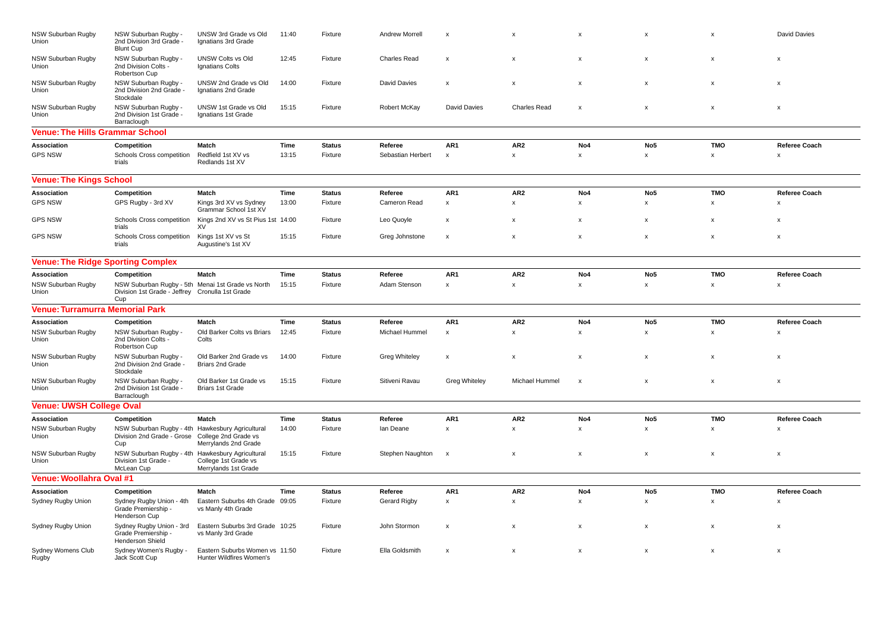| <b>NSW Suburban Rugby</b><br>Union     | NSW Suburban Rugby -<br>2nd Division 3rd Grade -<br><b>Blunt Cup</b>                                        | UNSW 3rd Grade vs Old<br>Ignatians 3rd Grade               | 11:40 | Fixture       | Andrew Morrell       | $\boldsymbol{\mathsf{x}}$ | $\boldsymbol{\mathsf{x}}$ | X                         | x                         | $\mathbf x$               | David Davies              |
|----------------------------------------|-------------------------------------------------------------------------------------------------------------|------------------------------------------------------------|-------|---------------|----------------------|---------------------------|---------------------------|---------------------------|---------------------------|---------------------------|---------------------------|
| NSW Suburban Rugby<br>Union            | NSW Suburban Rugby -<br>2nd Division Colts -<br>Robertson Cup                                               | <b>UNSW Colts vs Old</b><br><b>Ignatians Colts</b>         | 12:45 | Fixture       | Charles Read         | $\boldsymbol{\mathsf{x}}$ | $\boldsymbol{\mathsf{x}}$ | X                         | $\boldsymbol{\mathsf{x}}$ | $\times$                  | $\boldsymbol{\mathsf{x}}$ |
| NSW Suburban Rugby<br>Union            | NSW Suburban Rugby -<br>2nd Division 2nd Grade -<br>Stockdale                                               | UNSW 2nd Grade vs Old<br>Ignatians 2nd Grade               | 14:00 | Fixture       | David Davies         | $\mathsf{x}$              | X                         | $\boldsymbol{\mathsf{x}}$ | $\mathsf{x}$              | $\boldsymbol{\mathsf{x}}$ | $\pmb{\mathsf{x}}$        |
| NSW Suburban Rugby<br>Union            | NSW Suburban Rugby -<br>2nd Division 1st Grade -<br>Barraclough                                             | UNSW 1st Grade vs Old<br>Ignatians 1st Grade               | 15:15 | Fixture       | Robert McKay         | <b>David Davies</b>       | <b>Charles Read</b>       | $\boldsymbol{\mathsf{x}}$ | $\boldsymbol{\mathsf{x}}$ | $\boldsymbol{\mathsf{x}}$ | $\pmb{\chi}$              |
| <b>Venue: The Hills Grammar School</b> |                                                                                                             |                                                            |       |               |                      |                           |                           |                           |                           |                           |                           |
| Association                            | Competition                                                                                                 | Match                                                      | Time  | <b>Status</b> | Referee              | AR <sub>1</sub>           | AR <sub>2</sub>           | No <sub>4</sub>           | No <sub>5</sub>           | <b>TMO</b>                | <b>Referee Coach</b>      |
| <b>GPS NSW</b>                         | Schools Cross competition<br>trials                                                                         | Redfield 1st XV vs<br>Redlands 1st XV                      | 13:15 | Fixture       | Sebastian Herbert    | $\boldsymbol{\mathsf{x}}$ | $\pmb{\mathsf{x}}$        | $\boldsymbol{\mathsf{x}}$ | x                         | X                         | $\boldsymbol{\mathsf{x}}$ |
| <b>Venue: The Kings School</b>         |                                                                                                             |                                                            |       |               |                      |                           |                           |                           |                           |                           |                           |
| Association                            | Competition                                                                                                 | Match                                                      | Time  | <b>Status</b> | Referee              | AR <sub>1</sub>           | AR <sub>2</sub>           | No <sub>4</sub>           | No <sub>5</sub>           | <b>TMO</b>                | <b>Referee Coach</b>      |
| <b>GPS NSW</b>                         | GPS Rugby - 3rd XV                                                                                          | Kings 3rd XV vs Sydney<br>Grammar School 1st XV            | 13:00 | Fixture       | Cameron Read         | $\pmb{\mathsf{x}}$        | $\boldsymbol{\mathsf{x}}$ | x                         | $\boldsymbol{\mathsf{x}}$ | X                         | $\boldsymbol{\mathsf{x}}$ |
| <b>GPS NSW</b>                         | Schools Cross competition<br>trials                                                                         | Kings 2nd XV vs St Pius 1st 14:00<br>XV                    |       | Fixture       | Leo Quoyle           | $\pmb{\times}$            | $\mathbf{x}$              | $\boldsymbol{\mathsf{x}}$ | x                         | $\boldsymbol{\mathsf{x}}$ | $\boldsymbol{\mathsf{x}}$ |
| <b>GPS NSW</b>                         | Schools Cross competition<br>trials                                                                         | Kings 1st XV vs St<br>Augustine's 1st XV                   | 15:15 | Fixture       | Greg Johnstone       | $\boldsymbol{\mathsf{x}}$ | $\pmb{\mathsf{x}}$        | $\boldsymbol{\mathsf{x}}$ | $\boldsymbol{\mathsf{x}}$ | $\boldsymbol{\mathsf{x}}$ | $\boldsymbol{\mathsf{x}}$ |
|                                        | <b>Venue: The Ridge Sporting Complex</b>                                                                    |                                                            |       |               |                      |                           |                           |                           |                           |                           |                           |
| <b>Association</b>                     | Competition                                                                                                 | Match                                                      | Time  | <b>Status</b> | Referee              | AR <sub>1</sub>           | AR <sub>2</sub>           | No4                       | No <sub>5</sub>           | <b>TMO</b>                | <b>Referee Coach</b>      |
| NSW Suburban Rugby<br>Union            | NSW Suburban Rugby - 5th Menai 1st Grade vs North<br>Division 1st Grade - Jeffrey Cronulla 1st Grade<br>Cup |                                                            | 15:15 | Fixture       | Adam Stenson         | x                         | $\boldsymbol{\mathsf{x}}$ | $\pmb{\times}$            | x                         | $\times$                  | $\boldsymbol{\mathsf{x}}$ |
| <b>Venue: Turramurra Memorial Park</b> |                                                                                                             |                                                            |       |               |                      |                           |                           |                           |                           |                           |                           |
| Association                            | Competition                                                                                                 | Match                                                      | Time  | <b>Status</b> | Referee              | AR <sub>1</sub>           | AR <sub>2</sub>           | No4                       | No <sub>5</sub>           | <b>TMO</b>                | <b>Referee Coach</b>      |
| NSW Suburban Rugby<br>Union            | NSW Suburban Rugby -<br>2nd Division Colts<br>Robertson Cup                                                 | Old Barker Colts vs Briars<br>Colts                        | 12:45 | Fixture       | Michael Hummel       | $\pmb{\mathsf{x}}$        | $\pmb{\mathsf{x}}$        | $\boldsymbol{\mathsf{x}}$ | x                         | X                         | $\pmb{\mathsf{x}}$        |
| NSW Suburban Rugby<br>Union            | NSW Suburban Rugby -<br>2nd Division 2nd Grade -<br>Stockdale                                               | Old Barker 2nd Grade vs<br><b>Briars 2nd Grade</b>         | 14:00 | Fixture       | <b>Greg Whiteley</b> | $\pmb{\mathsf{x}}$        | $\boldsymbol{\mathsf{x}}$ | $\boldsymbol{\mathsf{x}}$ | X                         | X                         | $\boldsymbol{\mathsf{x}}$ |
| NSW Suburban Rugby<br><b>Union</b>     | NSW Suburban Rugby -<br>2nd Division 1st Grade -<br>Barraclough                                             | Old Barker 1st Grade vs<br><b>Briars 1st Grade</b>         | 15:15 | Fixture       | Sitiveni Ravau       | <b>Greg Whiteley</b>      | Michael Hummel            | $\boldsymbol{\mathsf{x}}$ | $\boldsymbol{\mathsf{x}}$ | $\boldsymbol{\mathsf{x}}$ | $\boldsymbol{\mathsf{x}}$ |
| <b>Venue: UWSH College Oval</b>        |                                                                                                             |                                                            |       |               |                      |                           |                           |                           |                           |                           |                           |
| Association                            | Competition                                                                                                 | Match                                                      | Time  | <b>Status</b> | Referee              | AR <sub>1</sub>           | AR <sub>2</sub>           | No4                       | No <sub>5</sub>           | <b>TMO</b>                | <b>Referee Coach</b>      |
| NSW Suburban Rugby<br>Union            | NSW Suburban Rugby - 4th Hawkesbury Agricultural<br>Division 2nd Grade - Grose College 2nd Grade vs<br>Cup  | Merrylands 2nd Grade                                       | 14:00 | Fixture       | lan Deane            | $\pmb{\mathsf{x}}$        | $\pmb{\mathsf{x}}$        | $\mathsf{x}$              | x                         | X                         | $\boldsymbol{\mathsf{x}}$ |
| NSW Suburban Rugby<br>Union            | NSW Suburban Rugby - 4th Hawkesbury Agricultural<br>Division 1st Grade -<br>McLean Cup                      | College 1st Grade vs<br>Merrylands 1st Grade               | 15:15 | Fixture       | Stephen Naughton     | $\boldsymbol{\mathsf{x}}$ | $\boldsymbol{\mathsf{x}}$ | $\boldsymbol{\mathsf{x}}$ | $\boldsymbol{\mathsf{x}}$ | $\times$                  | $\boldsymbol{\mathsf{x}}$ |
| Venue: Woollahra Oval #1               |                                                                                                             |                                                            |       |               |                      |                           |                           |                           |                           |                           |                           |
| Association                            | Competition                                                                                                 | Match                                                      | Time  | <b>Status</b> | Referee              | AR1                       | AR <sub>2</sub>           | No4                       | No <sub>5</sub>           | <b>TMO</b>                | Referee Coach             |
| Sydney Rugby Union                     | Sydney Rugby Union - 4th<br>Grade Premiership -<br>Henderson Cup                                            | Eastern Suburbs 4th Grade 09:05<br>vs Manly 4th Grade      |       | Fixture       | <b>Gerard Rigby</b>  | $\pmb{\mathsf{x}}$        | $\pmb{\mathsf{x}}$        | $\boldsymbol{\mathsf{x}}$ | x                         | $\times$                  | $\boldsymbol{\mathsf{x}}$ |
| Sydney Rugby Union                     | Sydney Rugby Union - 3rd<br>Grade Premiership -<br>Henderson Shield                                         | Eastern Suburbs 3rd Grade 10:25<br>vs Manly 3rd Grade      |       | Fixture       | John Stormon         | $\pmb{\mathsf{x}}$        | X                         | $\boldsymbol{\mathsf{x}}$ | x                         | $\boldsymbol{\mathsf{x}}$ | $\boldsymbol{\mathsf{x}}$ |
| Sydney Womens Club<br>Rugby            | Sydney Women's Rugby -<br>Jack Scott Cup                                                                    | Eastern Suburbs Women vs 11:50<br>Hunter Wildfires Women's |       | Fixture       | Ella Goldsmith       | $\boldsymbol{\mathsf{x}}$ | $\boldsymbol{\mathsf{x}}$ | $\boldsymbol{\mathsf{x}}$ | $\boldsymbol{\mathsf{x}}$ | $\boldsymbol{\mathsf{x}}$ | $\boldsymbol{\mathsf{x}}$ |